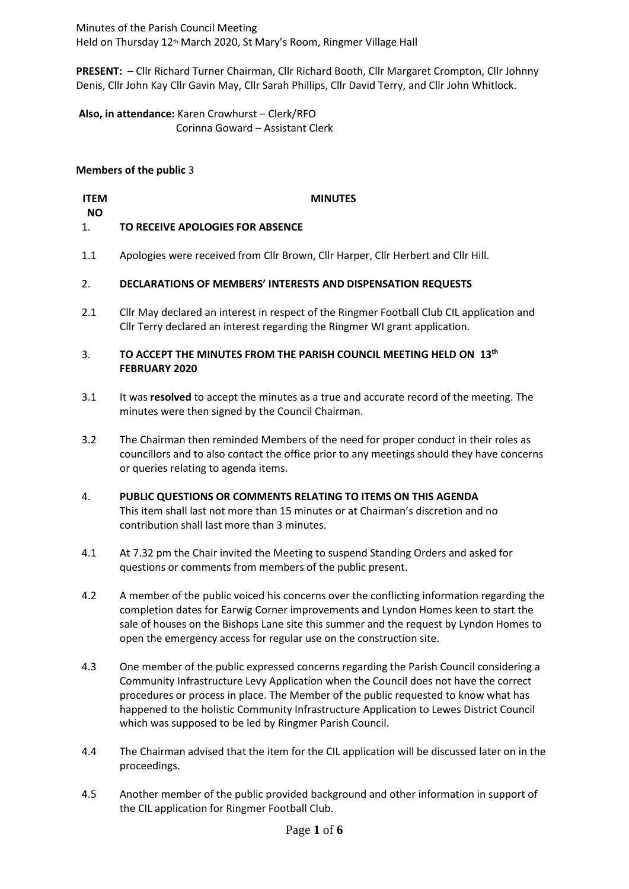Minutes of the Parish Council Meeting Held on Thursday 12<sup>th</sup> March 2020, St Mary's Room, Ringmer Village Hall

**PRESENT:** – Cllr Richard Turner Chairman, Cllr Richard Booth, Cllr Margaret Crompton, Cllr Johnny Denis, Cllr John Kay Cllr Gavin May, Cllr Sarah Phillips, Cllr David Terry, and Cllr John Whitlock.

**Also, in attendance:** Karen Crowhurst – Clerk/RFO Corinna Goward – Assistant Clerk

# **Members of the public** 3

## **ITEM NO MINUTES**

## 1. **TO RECEIVE APOLOGIES FOR ABSENCE**

1.1 Apologies were received from Cllr Brown, Cllr Harper, Cllr Herbert and Cllr Hill.

## 2. **DECLARATIONS OF MEMBERS' INTERESTS AND DISPENSATION REQUESTS**

2.1 Cllr May declared an interest in respect of the Ringmer Football Club CIL application and Cllr Terry declared an interest regarding the Ringmer WI grant application.

## 3. **TO ACCEPT THE MINUTES FROM THE PARISH COUNCIL MEETING HELD ON 13 th FEBRUARY 2020**

- 3.1 It was **resolved** to accept the minutes as a true and accurate record of the meeting. The minutes were then signed by the Council Chairman.
- 3.2 The Chairman then reminded Members of the need for proper conduct in their roles as councillors and to also contact the office prior to any meetings should they have concerns or queries relating to agenda items.
- 4. **PUBLIC QUESTIONS OR COMMENTS RELATING TO ITEMS ON THIS AGENDA** This item shall last not more than 15 minutes or at Chairman's discretion and no contribution shall last more than 3 minutes.
- 4.1 At 7.32 pm the Chair invited the Meeting to suspend Standing Orders and asked for questions or comments from members of the public present.
- 4.2 A member of the public voiced his concerns over the conflicting information regarding the completion dates for Earwig Corner improvements and Lyndon Homes keen to start the sale of houses on the Bishops Lane site this summer and the request by Lyndon Homes to open the emergency access for regular use on the construction site.
- 4.3 One member of the public expressed concerns regarding the Parish Council considering a Community Infrastructure Levy Application when the Council does not have the correct procedures or process in place. The Member of the public requested to know what has happened to the holistic Community Infrastructure Application to Lewes District Council which was supposed to be led by Ringmer Parish Council.
- 4.4 The Chairman advised that the item for the CIL application will be discussed later on in the proceedings.
- 4.5 Another member of the public provided background and other information in support of the CIL application for Ringmer Football Club.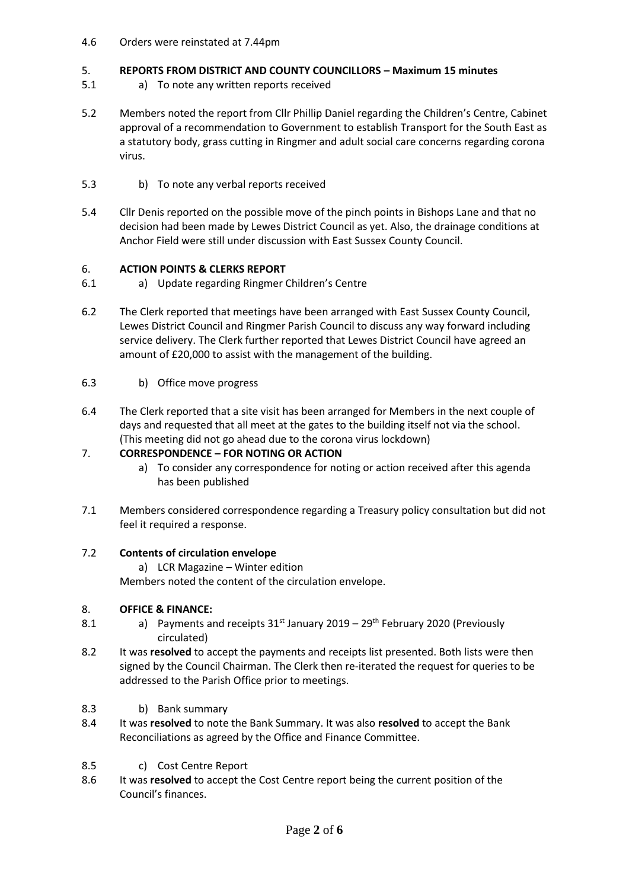# 4.6 Orders were reinstated at 7.44pm

## 5. **REPORTS FROM DISTRICT AND COUNTY COUNCILLORS – Maximum 15 minutes**

- 5.1 a) To note any written reports received
- 5.2 Members noted the report from Cllr Phillip Daniel regarding the Children's Centre, Cabinet approval of a recommendation to Government to establish Transport for the South East as a statutory body, grass cutting in Ringmer and adult social care concerns regarding corona virus.
- 5.3 b) To note any verbal reports received
- 5.4 Cllr Denis reported on the possible move of the pinch points in Bishops Lane and that no decision had been made by Lewes District Council as yet. Also, the drainage conditions at Anchor Field were still under discussion with East Sussex County Council.

## 6. **ACTION POINTS & CLERKS REPORT**

- 6.1 a) Update regarding Ringmer Children's Centre
- 6.2 The Clerk reported that meetings have been arranged with East Sussex County Council, Lewes District Council and Ringmer Parish Council to discuss any way forward including service delivery. The Clerk further reported that Lewes District Council have agreed an amount of £20,000 to assist with the management of the building.
- 6.3 b) Office move progress
- 6.4 The Clerk reported that a site visit has been arranged for Members in the next couple of days and requested that all meet at the gates to the building itself not via the school. (This meeting did not go ahead due to the corona virus lockdown)

## 7. **CORRESPONDENCE – FOR NOTING OR ACTION**

- a) To consider any correspondence for noting or action received after this agenda has been published
- 7.1 Members considered correspondence regarding a Treasury policy consultation but did not feel it required a response.

## 7.2 **Contents of circulation envelope**

a) LCR Magazine – Winter edition

Members noted the content of the circulation envelope.

## 8. **OFFICE & FINANCE:**

- 8.1 a) Payments and receipts  $31<sup>st</sup>$  January 2019 – 29<sup>th</sup> February 2020 (Previously circulated)
- 8.2 It was **resolved** to accept the payments and receipts list presented. Both lists were then signed by the Council Chairman. The Clerk then re-iterated the request for queries to be addressed to the Parish Office prior to meetings.
- 8.3 b) Bank summary
- 8.4 It was **resolved** to note the Bank Summary. It was also **resolved** to accept the Bank Reconciliations as agreed by the Office and Finance Committee.
- 8.5 c) Cost Centre Report
- 8.6 It was **resolved** to accept the Cost Centre report being the current position of the Council's finances.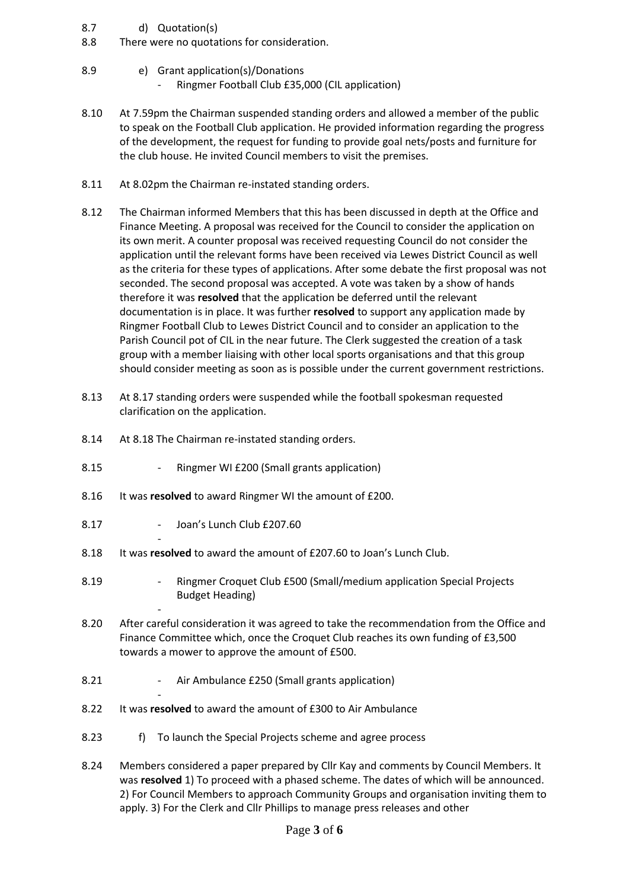- 8.7 d) Quotation(s)
- 8.8 There were no quotations for consideration.
- 8.9 e) Grant application(s)/Donations
	- Ringmer Football Club £35,000 (CIL application)
- 8.10 At 7.59pm the Chairman suspended standing orders and allowed a member of the public to speak on the Football Club application. He provided information regarding the progress of the development, the request for funding to provide goal nets/posts and furniture for the club house. He invited Council members to visit the premises.
- 8.11 At 8.02pm the Chairman re-instated standing orders.
- 8.12 The Chairman informed Members that this has been discussed in depth at the Office and Finance Meeting. A proposal was received for the Council to consider the application on its own merit. A counter proposal was received requesting Council do not consider the application until the relevant forms have been received via Lewes District Council as well as the criteria for these types of applications. After some debate the first proposal was not seconded. The second proposal was accepted. A vote was taken by a show of hands therefore it was **resolved** that the application be deferred until the relevant documentation is in place. It was further **resolved** to support any application made by Ringmer Football Club to Lewes District Council and to consider an application to the Parish Council pot of CIL in the near future. The Clerk suggested the creation of a task group with a member liaising with other local sports organisations and that this group should consider meeting as soon as is possible under the current government restrictions.
- 8.13 At 8.17 standing orders were suspended while the football spokesman requested clarification on the application.
- 8.14 At 8.18 The Chairman re-instated standing orders.
- 8.15 Ringmer WI £200 (Small grants application)
- 8.16 It was **resolved** to award Ringmer WI the amount of £200.
- 8.17 - Joan's Lunch Club £207.60

-

-

-

- 8.18 It was **resolved** to award the amount of £207.60 to Joan's Lunch Club.
- 8.19 - Ringmer Croquet Club £500 (Small/medium application Special Projects Budget Heading)
- 8.20 After careful consideration it was agreed to take the recommendation from the Office and Finance Committee which, once the Croquet Club reaches its own funding of £3,500 towards a mower to approve the amount of £500.
- 8.21 Air Ambulance £250 (Small grants application)
- 8.22 It was **resolved** to award the amount of £300 to Air Ambulance
- 8.23 f) To launch the Special Projects scheme and agree process
- 8.24 Members considered a paper prepared by Cllr Kay and comments by Council Members. It was **resolved** 1) To proceed with a phased scheme. The dates of which will be announced. 2) For Council Members to approach Community Groups and organisation inviting them to apply. 3) For the Clerk and Cllr Phillips to manage press releases and other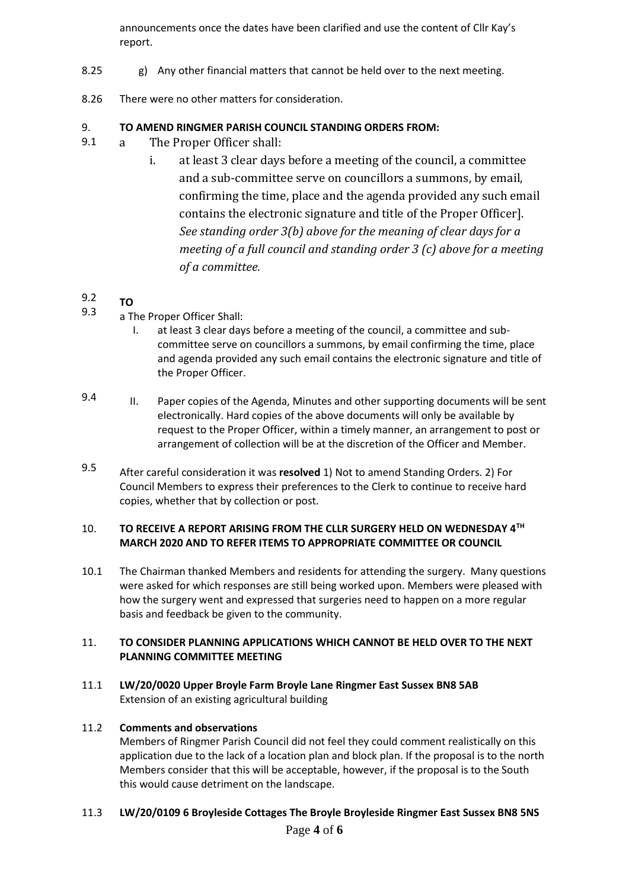announcements once the dates have been clarified and use the content of Cllr Kay's report.

- 8.25 g) Any other financial matters that cannot be held over to the next meeting.
- 8.26 There were no other matters for consideration.

## 9. **TO AMEND RINGMER PARISH COUNCIL STANDING ORDERS FROM:**

- 9.1 a The Proper Officer shall:
	- i. at least 3 clear days before a meeting of the council, a committee and a sub-committee serve on councillors a summons, by email, confirming the time, place and the agenda provided any such email contains the electronic signature and title of the Proper Officer]. *See standing order 3(b) above for the meaning of clear days for a meeting of a full council and standing order 3 (c) above for a meeting of a committee.*

## 9.2 **TO**

- 9.3 a The Proper Officer Shall:
	- I. at least 3 clear days before a meeting of the council, a committee and subcommittee serve on councillors a summons, by email confirming the time, place and agenda provided any such email contains the electronic signature and title of the Proper Officer.
- 9.4 II. Paper copies of the Agenda, Minutes and other supporting documents will be sent electronically. Hard copies of the above documents will only be available by request to the Proper Officer, within a timely manner, an arrangement to post or arrangement of collection will be at the discretion of the Officer and Member.
- 9.5 After careful consideration it was **resolved** 1) Not to amend Standing Orders. 2) For Council Members to express their preferences to the Clerk to continue to receive hard copies, whether that by collection or post.

## 10. **TO RECEIVE A REPORT ARISING FROM THE CLLR SURGERY HELD ON WEDNESDAY 4TH MARCH 2020 AND TO REFER ITEMS TO APPROPRIATE COMMITTEE OR COUNCIL**

10.1 The Chairman thanked Members and residents for attending the surgery. Many questions were asked for which responses are still being worked upon. Members were pleased with how the surgery went and expressed that surgeries need to happen on a more regular basis and feedback be given to the community.

## 11. **TO CONSIDER PLANNING APPLICATIONS WHICH CANNOT BE HELD OVER TO THE NEXT PLANNING COMMITTEE MEETING**

11.1 **LW/20/0020 Upper Broyle Farm Broyle Lane Ringmer East Sussex BN8 5AB** Extension of an existing agricultural building

## 11.2 **Comments and observations**

Members of Ringmer Parish Council did not feel they could comment realistically on this application due to the lack of a location plan and block plan. If the proposal is to the north Members consider that this will be acceptable, however, if the proposal is to the South this would cause detriment on the landscape.

## 11.3 **LW/20/0109 6 Broyleside Cottages The Broyle Broyleside Ringmer East Sussex BN8 5NS**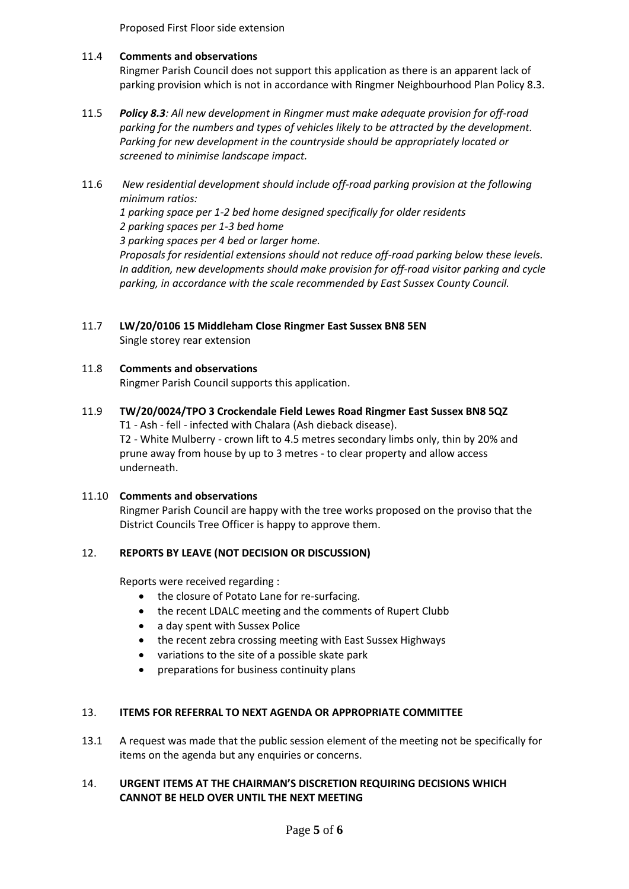Proposed First Floor side extension

#### 11.4 **Comments and observations**

Ringmer Parish Council does not support this application as there is an apparent lack of parking provision which is not in accordance with Ringmer Neighbourhood Plan Policy 8.3.

- 11.5 *Policy 8.3: All new development in Ringmer must make adequate provision for off-road parking for the numbers and types of vehicles likely to be attracted by the development. Parking for new development in the countryside should be appropriately located or screened to minimise landscape impact.*
- 11.6 *New residential development should include off-road parking provision at the following minimum ratios: 1 parking space per 1-2 bed home designed specifically for older residents 2 parking spaces per 1-3 bed home 3 parking spaces per 4 bed or larger home. Proposals for residential extensions should not reduce off-road parking below these levels. In addition, new developments should make provision for off-road visitor parking and cycle parking, in accordance with the scale recommended by East Sussex County Council.*
- 11.7 **LW/20/0106 15 Middleham Close Ringmer East Sussex BN8 5EN** Single storey rear extension

## 11.8 **Comments and observations**

Ringmer Parish Council supports this application.

11.9 **TW/20/0024/TPO 3 Crockendale Field Lewes Road Ringmer East Sussex BN8 5QZ** T1 - Ash - fell - infected with Chalara (Ash dieback disease). T2 - White Mulberry - crown lift to 4.5 metres secondary limbs only, thin by 20% and prune away from house by up to 3 metres - to clear property and allow access underneath.

## 11.10 **Comments and observations**

Ringmer Parish Council are happy with the tree works proposed on the proviso that the District Councils Tree Officer is happy to approve them.

## 12. **REPORTS BY LEAVE (NOT DECISION OR DISCUSSION)**

Reports were received regarding :

- the closure of Potato Lane for re-surfacing.
- the recent LDALC meeting and the comments of Rupert Clubb
- a day spent with Sussex Police
- the recent zebra crossing meeting with East Sussex Highways
- variations to the site of a possible skate park
- preparations for business continuity plans

#### 13. **ITEMS FOR REFERRAL TO NEXT AGENDA OR APPROPRIATE COMMITTEE**

13.1 A request was made that the public session element of the meeting not be specifically for items on the agenda but any enquiries or concerns.

# 14. **URGENT ITEMS AT THE CHAIRMAN'S DISCRETION REQUIRING DECISIONS WHICH CANNOT BE HELD OVER UNTIL THE NEXT MEETING**